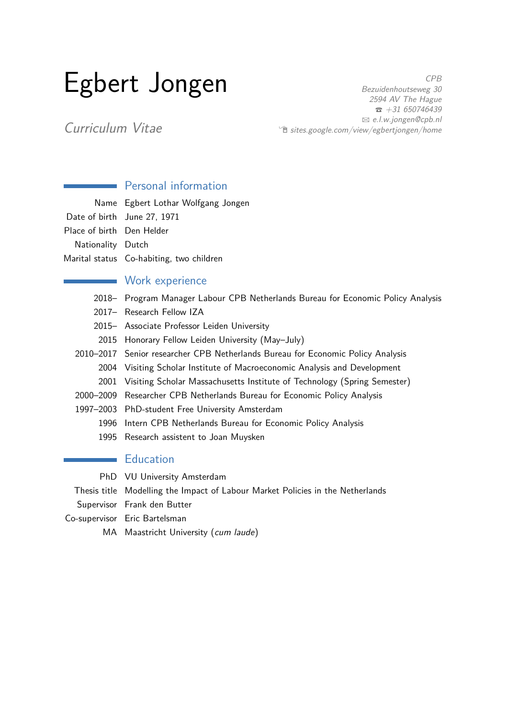# Egbert Jongen

CPB Bezuidenhoutseweg 30 2594 AV The Hague  $\bar{a}$  +31 650746439 B [e.l.w.jongen@cpb.nl](mailto:e.l.w.jongen@cpb.nl)  $\hat{P}$  [sites.google.com/view/egbertjongen/home](http://sites.google.com/view/egbertjongen/home)

Curriculum Vitae

## **Personal information**

|                           | Name Egbert Lothar Wolfgang Jongen       |
|---------------------------|------------------------------------------|
|                           | Date of birth June 27, 1971              |
| Place of birth Den Helder |                                          |
| Nationality Dutch         |                                          |
|                           | Marital status Co-habiting, two children |
|                           |                                          |

### **Work experience**

- 2018– Program Manager Labour CPB Netherlands Bureau for Economic Policy Analysis
- 2017– Research Fellow IZA
- 2015– Associate Professor Leiden University
- 2015 Honorary Fellow Leiden University (May–July)
- 2010–2017 Senior researcher CPB Netherlands Bureau for Economic Policy Analysis 2004 Visiting Scholar Institute of Macroeconomic Analysis and Development
	- 2001 Visiting Scholar Massachusetts Institute of Technology (Spring Semester)
- 2000–2009 Researcher CPB Netherlands Bureau for Economic Policy Analysis
- 1997–2003 PhD-student Free University Amsterdam
	- 1996 Intern CPB Netherlands Bureau for Economic Policy Analysis
	- 1995 Research assistent to Joan Muysken

## **Education**

PhD VU University Amsterdam

Thesis title Modelling the Impact of Labour Market Policies in the Netherlands

Supervisor Frank den Butter

- Co-supervisor Eric Bartelsman
	- MA Maastricht University (cum laude)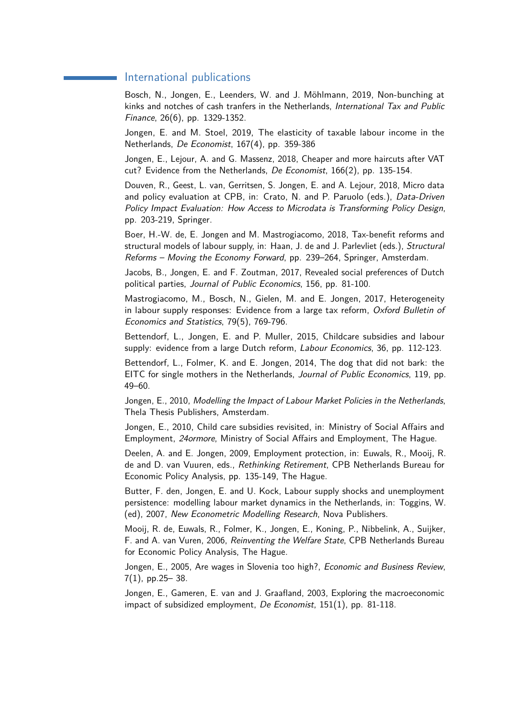#### International publications

Bosch, N., Jongen, E., Leenders, W. and J. Möhlmann, 2019, Non-bunching at kinks and notches of cash tranfers in the Netherlands, International Tax and Public Finance, 26(6), pp. 1329-1352.

Jongen, E. and M. Stoel, 2019, The elasticity of taxable labour income in the Netherlands, De Economist, 167(4), pp. 359-386

Jongen, E., Lejour, A. and G. Massenz, 2018, Cheaper and more haircuts after VAT cut? Evidence from the Netherlands, De Economist, 166(2), pp. 135-154.

Douven, R., Geest, L. van, Gerritsen, S. Jongen, E. and A. Lejour, 2018, Micro data and policy evaluation at CPB, in: Crato, N. and P. Paruolo (eds.), Data-Driven Policy Impact Evaluation: How Access to Microdata is Transforming Policy Design, pp. 203-219, Springer.

Boer, H.-W. de, E. Jongen and M. Mastrogiacomo, 2018, Tax-benefit reforms and structural models of labour supply, in: Haan, J. de and J. Parlevliet (eds.), Structural Reforms – Moving the Economy Forward, pp. 239–264, Springer, Amsterdam.

Jacobs, B., Jongen, E. and F. Zoutman, 2017, Revealed social preferences of Dutch political parties, Journal of Public Economics, 156, pp. 81-100.

Mastrogiacomo, M., Bosch, N., Gielen, M. and E. Jongen, 2017, Heterogeneity in labour supply responses: Evidence from a large tax reform,  $Ox$  ford Bulletin of Economics and Statistics, 79(5), 769-796.

Bettendorf, L., Jongen, E. and P. Muller, 2015, Childcare subsidies and labour supply: evidence from a large Dutch reform, Labour Economics, 36, pp. 112-123.

Bettendorf, L., Folmer, K. and E. Jongen, 2014, The dog that did not bark: the EITC for single mothers in the Netherlands, Journal of Public Economics, 119, pp. 49–60.

Jongen, E., 2010, Modelling the Impact of Labour Market Policies in the Netherlands, Thela Thesis Publishers, Amsterdam.

Jongen, E., 2010, Child care subsidies revisited, in: Ministry of Social Affairs and Employment, 24ormore, Ministry of Social Affairs and Employment, The Hague.

Deelen, A. and E. Jongen, 2009, Employment protection, in: Euwals, R., Mooij, R. de and D. van Vuuren, eds., Rethinking Retirement, CPB Netherlands Bureau for Economic Policy Analysis, pp. 135-149, The Hague.

Butter, F. den, Jongen, E. and U. Kock, Labour supply shocks and unemployment persistence: modelling labour market dynamics in the Netherlands, in: Toggins, W. (ed), 2007, New Econometric Modelling Research, Nova Publishers.

Mooij, R. de, Euwals, R., Folmer, K., Jongen, E., Koning, P., Nibbelink, A., Suijker, F. and A. van Vuren, 2006, Reinventing the Welfare State, CPB Netherlands Bureau for Economic Policy Analysis, The Hague.

Jongen, E., 2005. Are wages in Slovenia too high?, *Economic and Business Review*, 7(1), pp.25– 38.

Jongen, E., Gameren, E. van and J. Graafland, 2003, Exploring the macroeconomic impact of subsidized employment, De Economist, 151(1), pp. 81-118.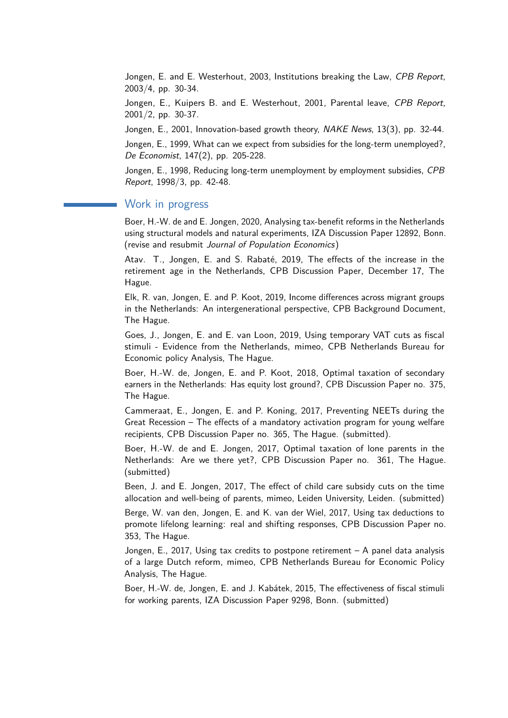Jongen, E. and E. Westerhout, 2003, Institutions breaking the Law, CPB Report, 2003/4, pp. 30-34.

Jongen, E., Kuipers B. and E. Westerhout, 2001, Parental leave, CPB Report, 2001/2, pp. 30-37.

Jongen, E., 2001, Innovation-based growth theory, NAKE News, 13(3), pp. 32-44.

Jongen, E., 1999, What can we expect from subsidies for the long-term unemployed?, De Economist, 147(2), pp. 205-228.

Jongen, E., 1998, Reducing long-term unemployment by employment subsidies, CPB Report, 1998/3, pp. 42-48.

#### Work in progress

Boer, H.-W. de and E. Jongen, 2020, Analysing tax-benefit reforms in the Netherlands using structural models and natural experiments, IZA Discussion Paper 12892, Bonn. (revise and resubmit Journal of Population Economics)

Atav. T., Jongen, E. and S. Rabaté, 2019, The effects of the increase in the retirement age in the Netherlands, CPB Discussion Paper, December 17, The Hague.

Elk, R. van, Jongen, E. and P. Koot, 2019, Income differences across migrant groups in the Netherlands: An intergenerational perspective, CPB Background Document, The Hague.

Goes, J., Jongen, E. and E. van Loon, 2019, Using temporary VAT cuts as fiscal stimuli - Evidence from the Netherlands, mimeo, CPB Netherlands Bureau for Economic policy Analysis, The Hague.

Boer, H.-W. de, Jongen, E. and P. Koot, 2018, Optimal taxation of secondary earners in the Netherlands: Has equity lost ground?, CPB Discussion Paper no. 375, The Hague.

Cammeraat, E., Jongen, E. and P. Koning, 2017, Preventing NEETs during the Great Recession – The effects of a mandatory activation program for young welfare recipients, CPB Discussion Paper no. 365, The Hague. (submitted).

Boer, H.-W. de and E. Jongen, 2017, Optimal taxation of lone parents in the Netherlands: Are we there yet?, CPB Discussion Paper no. 361, The Hague. (submitted)

Been, J. and E. Jongen, 2017, The effect of child care subsidy cuts on the time allocation and well-being of parents, mimeo, Leiden University, Leiden. (submitted)

Berge, W. van den, Jongen, E. and K. van der Wiel, 2017, Using tax deductions to promote lifelong learning: real and shifting responses, CPB Discussion Paper no. 353, The Hague.

Jongen, E., 2017, Using tax credits to postpone retirement – A panel data analysis of a large Dutch reform, mimeo, CPB Netherlands Bureau for Economic Policy Analysis, The Hague.

Boer, H.-W. de, Jongen, E. and J. Kabátek, 2015, The effectiveness of fiscal stimuli for working parents, IZA Discussion Paper 9298, Bonn. (submitted)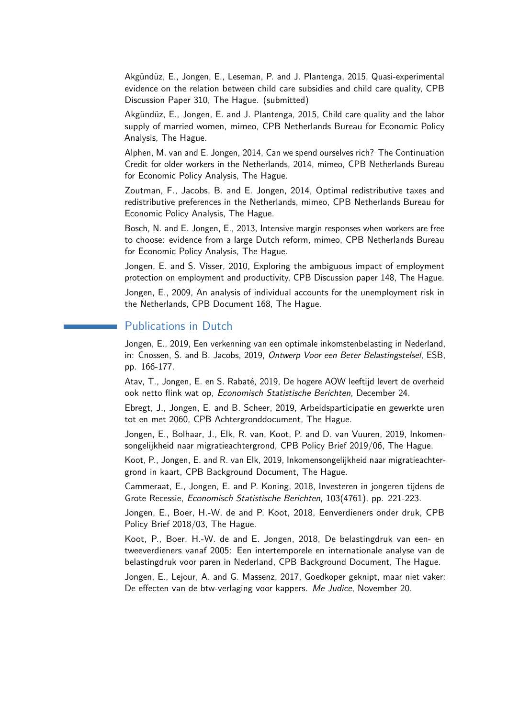Akgündüz, E., Jongen, E., Leseman, P. and J. Plantenga, 2015, Quasi-experimental evidence on the relation between child care subsidies and child care quality, CPB Discussion Paper 310, The Hague. (submitted)

Akgündüz, E., Jongen, E. and J. Plantenga, 2015, Child care quality and the labor supply of married women, mimeo, CPB Netherlands Bureau for Economic Policy Analysis, The Hague.

Alphen, M. van and E. Jongen, 2014, Can we spend ourselves rich? The Continuation Credit for older workers in the Netherlands, 2014, mimeo, CPB Netherlands Bureau for Economic Policy Analysis, The Hague.

Zoutman, F., Jacobs, B. and E. Jongen, 2014, Optimal redistributive taxes and redistributive preferences in the Netherlands, mimeo, CPB Netherlands Bureau for Economic Policy Analysis, The Hague.

Bosch, N. and E. Jongen, E., 2013, Intensive margin responses when workers are free to choose: evidence from a large Dutch reform, mimeo, CPB Netherlands Bureau for Economic Policy Analysis, The Hague.

Jongen, E. and S. Visser, 2010, Exploring the ambiguous impact of employment protection on employment and productivity, CPB Discussion paper 148, The Hague.

Jongen, E., 2009, An analysis of individual accounts for the unemployment risk in the Netherlands, CPB Document 168, The Hague.

#### Publications in Dutch

Jongen, E., 2019, Een verkenning van een optimale inkomstenbelasting in Nederland, in: Cnossen, S. and B. Jacobs, 2019, Ontwerp Voor een Beter Belastingstelsel, ESB, pp. 166-177.

Atav, T., Jongen, E. en S. Rabaté, 2019, De hogere AOW leeftijd levert de overheid ook netto flink wat op, Economisch Statistische Berichten, December 24.

Ebregt, J., Jongen, E. and B. Scheer, 2019, Arbeidsparticipatie en gewerkte uren tot en met 2060, CPB Achtergronddocument, The Hague.

Jongen, E., Bolhaar, J., Elk, R. van, Koot, P. and D. van Vuuren, 2019, Inkomensongelijkheid naar migratieachtergrond, CPB Policy Brief 2019/06, The Hague.

Koot, P., Jongen, E. and R. van Elk, 2019, Inkomensongelijkheid naar migratieachtergrond in kaart, CPB Background Document, The Hague.

Cammeraat, E., Jongen, E. and P. Koning, 2018, Investeren in jongeren tijdens de Grote Recessie, Economisch Statistische Berichten, 103(4761), pp. 221-223.

Jongen, E., Boer, H.-W. de and P. Koot, 2018, Eenverdieners onder druk, CPB Policy Brief 2018/03, The Hague.

Koot, P., Boer, H.-W. de and E. Jongen, 2018, De belastingdruk van een- en tweeverdieners vanaf 2005: Een intertemporele en internationale analyse van de belastingdruk voor paren in Nederland, CPB Background Document, The Hague.

Jongen, E., Lejour, A. and G. Massenz, 2017, Goedkoper geknipt, maar niet vaker: De effecten van de btw-verlaging voor kappers. Me Judice, November 20.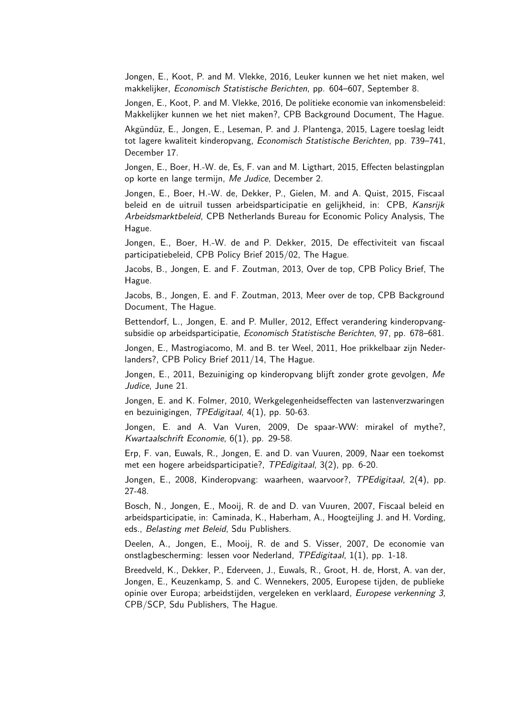Jongen, E., Koot, P. and M. Vlekke, 2016, Leuker kunnen we het niet maken, wel makkelijker, Economisch Statistische Berichten, pp. 604–607, September 8.

Jongen, E., Koot, P. and M. Vlekke, 2016, De politieke economie van inkomensbeleid: Makkelijker kunnen we het niet maken?, CPB Background Document, The Hague.

Akgündüz, E., Jongen, E., Leseman, P. and J. Plantenga, 2015, Lagere toeslag leidt tot lagere kwaliteit kinderopvang, Economisch Statistische Berichten, pp. 739–741, December 17.

Jongen, E., Boer, H.-W. de, Es, F. van and M. Ligthart, 2015, Effecten belastingplan op korte en lange termijn, Me Judice, December 2.

Jongen, E., Boer, H.-W. de, Dekker, P., Gielen, M. and A. Quist, 2015, Fiscaal beleid en de uitruil tussen arbeidsparticipatie en gelijkheid, in: CPB, Kansrijk Arbeidsmarktbeleid, CPB Netherlands Bureau for Economic Policy Analysis, The Hague.

Jongen, E., Boer, H.-W. de and P. Dekker, 2015, De effectiviteit van fiscaal participatiebeleid, CPB Policy Brief 2015/02, The Hague.

Jacobs, B., Jongen, E. and F. Zoutman, 2013, Over de top, CPB Policy Brief, The Hague.

Jacobs, B., Jongen, E. and F. Zoutman, 2013, Meer over de top, CPB Background Document, The Hague.

Bettendorf, L., Jongen, E. and P. Muller, 2012, Effect verandering kinderopvangsubsidie op arbeidsparticipatie, Economisch Statistische Berichten, 97, pp. 678–681.

Jongen, E., Mastrogiacomo, M. and B. ter Weel, 2011, Hoe prikkelbaar zijn Nederlanders?, CPB Policy Brief 2011/14, The Hague.

Jongen, E., 2011, Bezuiniging op kinderopvang blijft zonder grote gevolgen, Me Judice, June 21.

Jongen, E. and K. Folmer, 2010, Werkgelegenheidseffecten van lastenverzwaringen en bezuinigingen, TPEdigitaal, 4(1), pp. 50-63.

Jongen, E. and A. Van Vuren, 2009, De spaar-WW: mirakel of mythe?, Kwartaalschrift Economie, 6(1), pp. 29-58.

Erp, F. van, Euwals, R., Jongen, E. and D. van Vuuren, 2009, Naar een toekomst met een hogere arbeidsparticipatie?, TPEdigitaal, 3(2), pp. 6-20.

Jongen, E., 2008, Kinderopvang: waarheen, waarvoor?, TPEdigitaal, 2(4), pp. 27-48.

Bosch, N., Jongen, E., Mooij, R. de and D. van Vuuren, 2007, Fiscaal beleid en arbeidsparticipatie, in: Caminada, K., Haberham, A., Hoogteijling J. and H. Vording, eds., Belasting met Beleid, Sdu Publishers.

Deelen, A., Jongen, E., Mooij, R. de and S. Visser, 2007, De economie van onstlagbescherming: lessen voor Nederland, TPEdigitaal, 1(1), pp. 1-18.

Breedveld, K., Dekker, P., Ederveen, J., Euwals, R., Groot, H. de, Horst, A. van der, Jongen, E., Keuzenkamp, S. and C. Wennekers, 2005, Europese tijden, de publieke opinie over Europa; arbeidstijden, vergeleken en verklaard, Europese verkenning 3, CPB/SCP, Sdu Publishers, The Hague.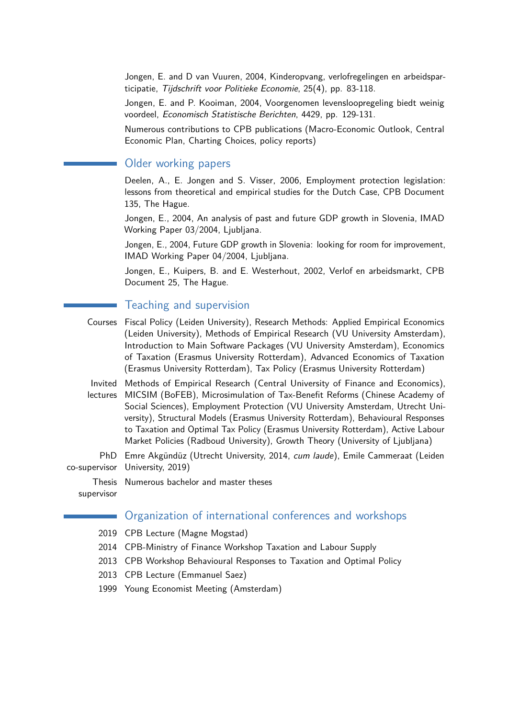Jongen, E. and D van Vuuren, 2004, Kinderopvang, verlofregelingen en arbeidsparticipatie, Tijdschrift voor Politieke Economie, 25(4), pp. 83-118.

Jongen, E. and P. Kooiman, 2004, Voorgenomen levensloopregeling biedt weinig voordeel, Economisch Statistische Berichten, 4429, pp. 129-131.

Numerous contributions to CPB publications (Macro-Economic Outlook, Central Economic Plan, Charting Choices, policy reports)

#### Older working papers

Deelen, A., E. Jongen and S. Visser, 2006, Employment protection legislation: lessons from theoretical and empirical studies for the Dutch Case, CPB Document 135, The Hague.

Jongen, E., 2004, An analysis of past and future GDP growth in Slovenia, IMAD Working Paper 03/2004, Ljubljana.

Jongen, E., 2004, Future GDP growth in Slovenia: looking for room for improvement, IMAD Working Paper 04/2004, Ljubljana.

Jongen, E., Kuipers, B. and E. Westerhout, 2002, Verlof en arbeidsmarkt, CPB Document 25, The Hague.

#### Teaching and supervision

- Courses Fiscal Policy (Leiden University), Research Methods: Applied Empirical Economics (Leiden University), Methods of Empirical Research (VU University Amsterdam), Introduction to Main Software Packages (VU University Amsterdam), Economics of Taxation (Erasmus University Rotterdam), Advanced Economics of Taxation (Erasmus University Rotterdam), Tax Policy (Erasmus University Rotterdam)
- Invited Methods of Empirical Research (Central University of Finance and Economics), lectures MICSIM (BoFEB), Microsimulation of Tax-Benefit Reforms (Chinese Academy of Social Sciences), Employment Protection (VU University Amsterdam, Utrecht University), Structural Models (Erasmus University Rotterdam), Behavioural Responses to Taxation and Optimal Tax Policy (Erasmus University Rotterdam), Active Labour Market Policies (Radboud University), Growth Theory (University of Ljubljana)
- PhD Emre Akgündüz (Utrecht University, 2014, cum laude), Emile Cammeraat (Leiden co-supervisor University, 2019)

Thesis Numerous bachelor and master theses supervisor

#### Organization of international conferences and workshops

- 2019 CPB Lecture (Magne Mogstad)
- 2014 CPB-Ministry of Finance Workshop Taxation and Labour Supply
- 2013 CPB Workshop Behavioural Responses to Taxation and Optimal Policy
- 2013 CPB Lecture (Emmanuel Saez)
- 1999 Young Economist Meeting (Amsterdam)